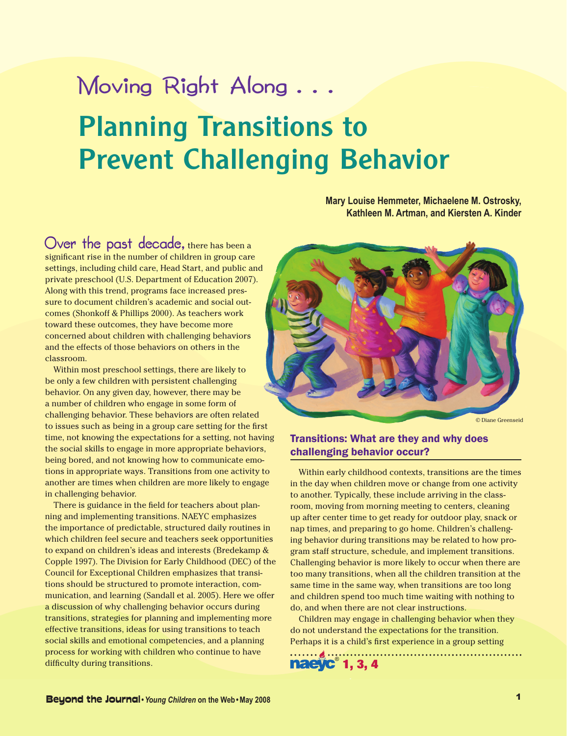# Planning Transitions to Prevent Challenging Behavior Moving Right Along . . .

**Mary Louise Hemmeter, Michaelene M. Ostrosky, Kathleen M. Artman, and Kiersten A. Kinder**

Over the past decade, there has been a significant rise in the number of children in group care settings, including child care, Head Start, and public and private preschool (U.S. Department of Education 2007). Along with this trend, programs face increased pressure to document children's academic and social outcomes (Shonkoff & Phillips 2000). As teachers work toward these outcomes, they have become more concerned about children with challenging behaviors and the effects of those behaviors on others in the classroom.

Within most preschool settings, there are likely to be only a few children with persistent challenging behavior. On any given day, however, there may be a number of children who engage in some form of challenging behavior. These behaviors are often related to issues such as being in a group care setting for the first time, not knowing the expectations for a setting, not having the social skills to engage in more appropriate behaviors, being bored, and not knowing how to communicate emotions in appropriate ways. Transitions from one activity to another are times when children are more likely to engage in challenging behavior.

There is guidance in the field for teachers about planning and implementing transitions. NAEYC emphasizes the importance of predictable, structured daily routines in which children feel secure and teachers seek opportunities to expand on children's ideas and interests (Bredekamp & Copple 1997). The Division for Early Childhood (DEC) of the Council for Exceptional Children emphasizes that transitions should be structured to promote interaction, communication, and learning (Sandall et al. 2005). Here we offer a discussion of why challenging behavior occurs during transitions, strategies for planning and implementing more effective transitions, ideas for using transitions to teach social skills and emotional competencies, and a planning process for working with children who continue to have difficulty during transitions.



# Transitions: What are they and why does challenging behavior occur?

Within early childhood contexts, transitions are the times in the day when children move or change from one activity to another. Typically, these include arriving in the classroom, moving from morning meeting to centers, cleaning up after center time to get ready for outdoor play, snack or nap times, and preparing to go home. Children's challenging behavior during transitions may be related to how program staff structure, schedule, and implement transitions. Challenging behavior is more likely to occur when there are too many transitions, when all the children transition at the same time in the same way, when transitions are too long and children spend too much time waiting with nothing to do, and when there are not clear instructions.

Children may engage in challenging behavior when they do not understand the expectations for the transition. Perhaps it is a child's first experience in a group setting

1, 3, 4 ®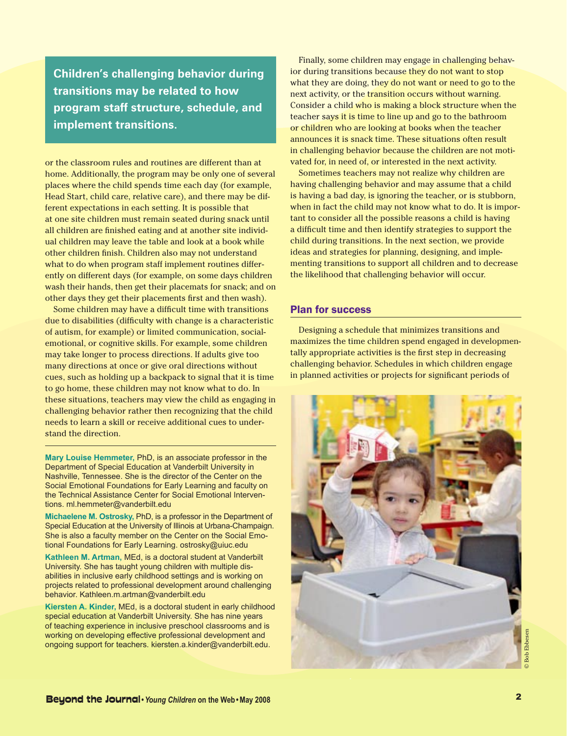**Children's challenging behavior during transitions may be related to how program staff structure, schedule, and implement transitions.**

or the classroom rules and routines are different than at home. Additionally, the program may be only one of several places where the child spends time each day (for example, Head Start, child care, relative care), and there may be different expectations in each setting. It is possible that at one site children must remain seated during snack until all children are finished eating and at another site individual children may leave the table and look at a book while other children finish. Children also may not understand what to do when program staff implement routines differently on different days (for example, on some days children wash their hands, then get their placemats for snack; and on other days they get their placements first and then wash).

Some children may have a difficult time with transitions due to disabilities (difficulty with change is a characteristic of autism, for example) or limited communication, socialemotional, or cognitive skills. For example, some children may take longer to process directions. If adults give too many directions at once or give oral directions without cues, such as holding up a backpack to signal that it is time to go home, these children may not know what to do. In these situations, teachers may view the child as engaging in challenging behavior rather then recognizing that the child needs to learn a skill or receive additional cues to understand the direction.

**Mary Louise Hemmeter,** PhD, is an associate professor in the Department of Special Education at Vanderbilt University in Nashville, Tennessee. She is the director of the Center on the Social Emotional Foundations for Early Learning and faculty on the Technical Assistance Center for Social Emotional Interventions. ml.hemmeter@vanderbilt.edu

**Michaelene M. Ostrosky,** PhD, is a professor in the Department of Special Education at the University of Illinois at Urbana-Champaign. She is also a faculty member on the Center on the Social Emotional Foundations for Early Learning. ostrosky@uiuc.edu

**Kathleen M. Artman,** MEd, is a doctoral student at Vanderbilt University. She has taught young children with multiple disabilities in inclusive early childhood settings and is working on projects related to professional development around challenging behavior. Kathleen.m.artman@vanderbilt.edu

**Kiersten A. Kinder,** MEd, is a doctoral student in early childhood special education at Vanderbilt University. She has nine years of teaching experience in inclusive preschool classrooms and is working on developing effective professional development and ongoing support for teachers. kiersten.a.kinder@vanderbilt.edu.

Finally, some children may engage in challenging behavior during transitions because they do not want to stop what they are doing, they do not want or need to go to the next activity, or the transition occurs without warning. Consider a child who is making a block structure when the teacher says it is time to line up and go to the bathroom or children who are looking at books when the teacher announces it is snack time. These situations often result in challenging behavior because the children are not motivated for, in need of, or interested in the next activity.

Sometimes teachers may not realize why children are having challenging behavior and may assume that a child is having a bad day, is ignoring the teacher, or is stubborn, when in fact the child may not know what to do. It is important to consider all the possible reasons a child is having a difficult time and then identify strategies to support the child during transitions. In the next section, we provide ideas and strategies for planning, designing, and implementing transitions to support all children and to decrease the likelihood that challenging behavior will occur.

### Plan for success

Designing a schedule that minimizes transitions and maximizes the time children spend engaged in developmentally appropriate activities is the first step in decreasing challenging behavior. Schedules in which children engage in planned activities or projects for significant periods of

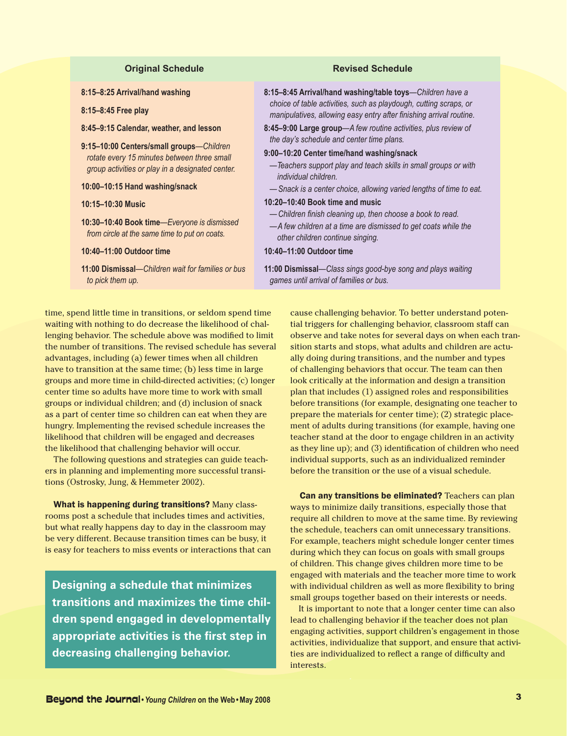**8:15–8:25 Arrival/hand washing**

**8:15–8:45 Free play**

- **8:45–9:15 Calendar, weather, and lesson**
- **9:15–10:00 Centers/small groups***—Children rotate every 15 minutes between three small group activities or play in a designated center.*
- **10:00–10:15 Hand washing/snack**
- **10:15–10:30 Music**
- **10:30–10:40 Book time***—Everyone is dismissed from circle at the same time to put on coats.*
- **10:40–11:00 Outdoor time**
- **11:00 Dismissal***—Children wait for families or bus to pick them up.*

### **Original Schedule Revised Schedule**

- **8:15–8:45 Arrival/hand washing/table toys***—Children have a choice of table activities, such as playdough, cutting scraps, or manipulatives, allowing easy entry after finishing arrival routine.*
- **8:45–9:00 Large group***—A few routine activities, plus review of the day's schedule and center time plans.*
- **9:00–10:20 Center time/hand washing/snack**
	- *—Teachers support play and teach skills in small groups or with individual children.*
- *—Snack is a center choice, allowing varied lengths of time to eat.*
- **10:20–10:40 Book time and music**
	- *—Children finish cleaning up, then choose a book to read.*
- *—A few children at a time are dismissed to get coats while the other children continue singing.*
- **10:40–11:00 Outdoor time**

**11:00 Dismissal***—Class sings good-bye song and plays waiting games until arrival of families or bus.*

time, spend little time in transitions, or seldom spend time waiting with nothing to do decrease the likelihood of challenging behavior. The schedule above was modified to limit the number of transitions. The revised schedule has several advantages, including (a) fewer times when all children have to transition at the same time; (b) less time in large groups and more time in child-directed activities; (c) longer center time so adults have more time to work with small groups or individual children; and (d) inclusion of snack as a part of center time so children can eat when they are hungry. Implementing the revised schedule increases the likelihood that children will be engaged and decreases the likelihood that challenging behavior will occur.

The following questions and strategies can guide teachers in planning and implementing more successful transitions (Ostrosky, Jung, & Hemmeter 2002).

What is happening during transitions? Many classrooms post a schedule that includes times and activities, but what really happens day to day in the classroom may be very different. Because transition times can be busy, it is easy for teachers to miss events or interactions that can

**Designing a schedule that minimizes transitions and maximizes the time children spend engaged in developmentally appropriate activities is the first step in decreasing challenging behavior.**

cause challenging behavior. To better understand potential triggers for challenging behavior, classroom staff can observe and take notes for several days on when each transition starts and stops, what adults and children are actually doing during transitions, and the number and types of challenging behaviors that occur. The team can then look critically at the information and design a transition plan that includes (1) assigned roles and responsibilities before transitions (for example, designating one teacher to prepare the materials for center time); (2) strategic placement of adults during transitions (for example, having one teacher stand at the door to engage children in an activity as they line up); and (3) identification of children who need individual supports, such as an individualized reminder before the transition or the use of a visual schedule.

Can any transitions be eliminated? Teachers can plan ways to minimize daily transitions, especially those that require all children to move at the same time. By reviewing the schedule, teachers can omit unnecessary transitions. For example, teachers might schedule longer center times during which they can focus on goals with small groups of children. This change gives children more time to be engaged with materials and the teacher more time to work with individual children as well as more flexibility to bring small groups together based on their interests or needs.

It is important to note that a longer center time can also lead to challenging behavior if the teacher does not plan engaging activities, support children's engagement in those activities, individualize that support, and ensure that activities are individualized to reflect a range of difficulty and interests.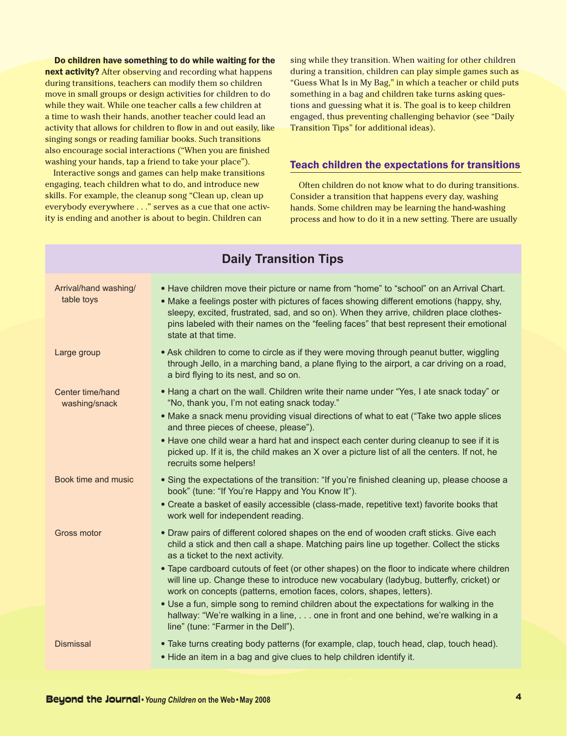Do children have something to do while waiting for the next activity? After observing and recording what happens during transitions, teachers can modify them so children move in small groups or design activities for children to do while they wait. While one teacher calls a few children at a time to wash their hands, another teacher could lead an activity that allows for children to flow in and out easily, like singing songs or reading familiar books. Such transitions also encourage social interactions ("When you are finished washing your hands, tap a friend to take your place").

Interactive songs and games can help make transitions engaging, teach children what to do, and introduce new skills. For example, the cleanup song "Clean up, clean up everybody everywhere . . ." serves as a cue that one activity is ending and another is about to begin. Children can

sing while they transition. When waiting for other children during a transition, children can play simple games such as "Guess What Is in My Bag," in which a teacher or child puts something in a bag and children take turns asking questions and guessing what it is. The goal is to keep children engaged, thus preventing challenging behavior (see "Daily Transition Tips" for additional ideas).

## Teach children the expectations for transitions

Often children do not know what to do during transitions. Consider a transition that happens every day, washing hands. Some children may be learning the hand-washing process and how to do it in a new setting. There are usually

| <b>Daily Transition Tips</b> |
|------------------------------|
|------------------------------|

| Arrival/hand washing/<br>table toys | • Have children move their picture or name from "home" to "school" on an Arrival Chart.<br>. Make a feelings poster with pictures of faces showing different emotions (happy, shy,<br>sleepy, excited, frustrated, sad, and so on). When they arrive, children place clothes-<br>pins labeled with their names on the "feeling faces" that best represent their emotional<br>state at that time. |
|-------------------------------------|--------------------------------------------------------------------------------------------------------------------------------------------------------------------------------------------------------------------------------------------------------------------------------------------------------------------------------------------------------------------------------------------------|
| Large group                         | • Ask children to come to circle as if they were moving through peanut butter, wiggling<br>through Jello, in a marching band, a plane flying to the airport, a car driving on a road,<br>a bird flying to its nest, and so on.                                                                                                                                                                   |
| Center time/hand<br>washing/snack   | • Hang a chart on the wall. Children write their name under "Yes, I ate snack today" or<br>"No, thank you, I'm not eating snack today."                                                                                                                                                                                                                                                          |
|                                     | . Make a snack menu providing visual directions of what to eat ("Take two apple slices<br>and three pieces of cheese, please").                                                                                                                                                                                                                                                                  |
|                                     | • Have one child wear a hard hat and inspect each center during cleanup to see if it is<br>picked up. If it is, the child makes an X over a picture list of all the centers. If not, he<br>recruits some helpers!                                                                                                                                                                                |
| Book time and music                 | • Sing the expectations of the transition: "If you're finished cleaning up, please choose a<br>book" (tune: "If You're Happy and You Know It").                                                                                                                                                                                                                                                  |
|                                     | • Create a basket of easily accessible (class-made, repetitive text) favorite books that<br>work well for independent reading.                                                                                                                                                                                                                                                                   |
| Gross motor                         | . Draw pairs of different colored shapes on the end of wooden craft sticks. Give each<br>child a stick and then call a shape. Matching pairs line up together. Collect the sticks<br>as a ticket to the next activity.                                                                                                                                                                           |
|                                     | • Tape cardboard cutouts of feet (or other shapes) on the floor to indicate where children<br>will line up. Change these to introduce new vocabulary (ladybug, butterfly, cricket) or<br>work on concepts (patterns, emotion faces, colors, shapes, letters).                                                                                                                                    |
|                                     | • Use a fun, simple song to remind children about the expectations for walking in the<br>hallway: "We're walking in a line, one in front and one behind, we're walking in a<br>line" (tune: "Farmer in the Dell").                                                                                                                                                                               |
| <b>Dismissal</b>                    | • Take turns creating body patterns (for example, clap, touch head, clap, touch head).<br>. Hide an item in a bag and give clues to help children identify it.                                                                                                                                                                                                                                   |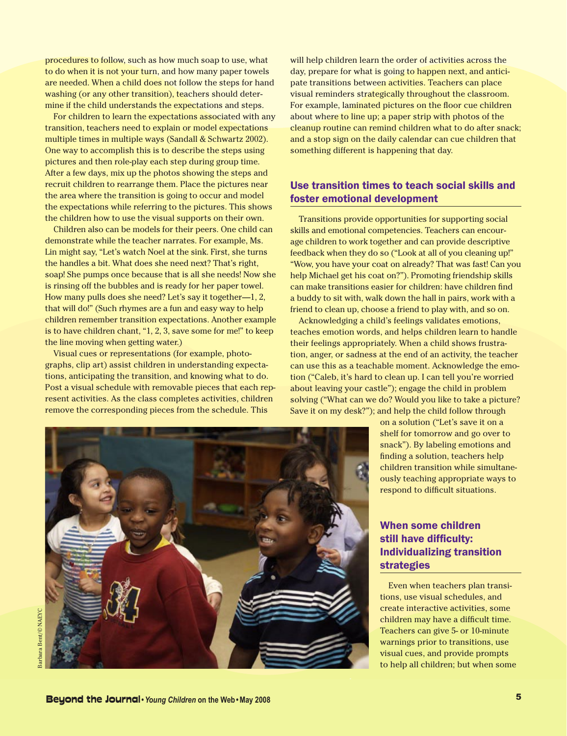procedures to follow, such as how much soap to use, what to do when it is not your turn, and how many paper towels are needed. When a child does not follow the steps for hand washing (or any other transition), teachers should determine if the child understands the expectations and steps.

For children to learn the expectations associated with any transition, teachers need to explain or model expectations multiple times in multiple ways (Sandall & Schwartz 2002). One way to accomplish this is to describe the steps using pictures and then role-play each step during group time. After a few days, mix up the photos showing the steps and recruit children to rearrange them. Place the pictures near the area where the transition is going to occur and model the expectations while referring to the pictures. This shows the children how to use the visual supports on their own.

Children also can be models for their peers. One child can demonstrate while the teacher narrates. For example, Ms. Lin might say, "Let's watch Noel at the sink. First, she turns the handles a bit. What does she need next? That's right, soap! She pumps once because that is all she needs! Now she is rinsing off the bubbles and is ready for her paper towel. How many pulls does she need? Let's say it together—1, 2, that will do!" (Such rhymes are a fun and easy way to help children remember transition expectations. Another example is to have children chant, "1, 2, 3, save some for me!" to keep the line moving when getting water.)

Visual cues or representations (for example, photographs, clip art) assist children in understanding expectations, anticipating the transition, and knowing what to do. Post a visual schedule with removable pieces that each represent activities. As the class completes activities, children remove the corresponding pieces from the schedule. This

will help children learn the order of activities across the day, prepare for what is going to happen next, and anticipate transitions between activities. Teachers can place visual reminders strategically throughout the classroom. For example, laminated pictures on the floor cue children about where to line up; a paper strip with photos of the cleanup routine can remind children what to do after snack; and a stop sign on the daily calendar can cue children that something different is happening that day.

# Use transition times to teach social skills and foster emotional development

Transitions provide opportunities for supporting social skills and emotional competencies. Teachers can encourage children to work together and can provide descriptive feedback when they do so ("Look at all of you cleaning up!" "Wow, you have your coat on already? That was fast! Can you help Michael get his coat on?"). Promoting friendship skills can make transitions easier for children: have children find a buddy to sit with, walk down the hall in pairs, work with a friend to clean up, choose a friend to play with, and so on.

Acknowledging a child's feelings validates emotions, teaches emotion words, and helps children learn to handle their feelings appropriately. When a child shows frustration, anger, or sadness at the end of an activity, the teacher can use this as a teachable moment. Acknowledge the emotion ("Caleb, it's hard to clean up. I can tell you're worried about leaving your castle"); engage the child in problem solving ("What can we do? Would you like to take a picture? Save it on my desk?"); and help the child follow through



arbara Bent/© NAEYC Barbara Bent/© NAEYC

on a solution ("Let's save it on a shelf for tomorrow and go over to snack"). By labeling emotions and finding a solution, teachers help children transition while simultaneously teaching appropriate ways to respond to difficult situations.

# When some children still have difficulty: Individualizing transition strategies

Even when teachers plan transitions, use visual schedules, and create interactive activities, some children may have a difficult time. Teachers can give 5- or 10-minute warnings prior to transitions, use visual cues, and provide prompts to help all children; but when some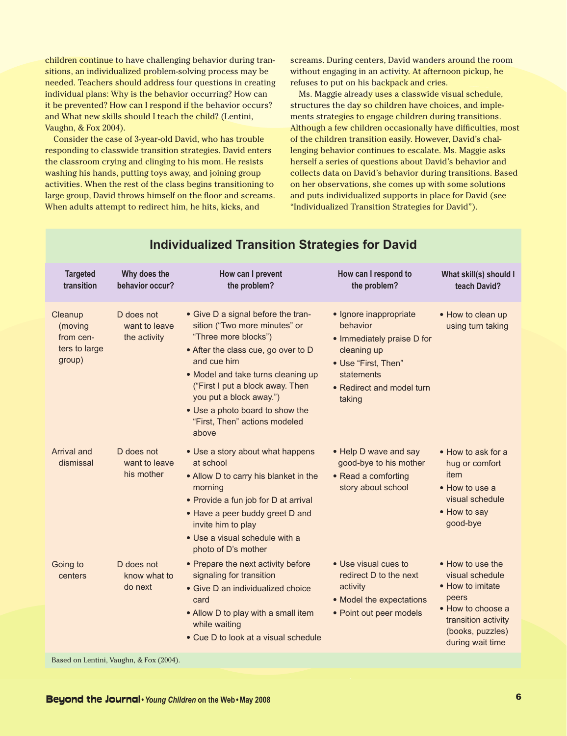children continue to have challenging behavior during transitions, an individualized problem-solving process may be needed. Teachers should address four questions in creating individual plans: Why is the behavior occurring? How can it be prevented? How can I respond if the behavior occurs? and What new skills should I teach the child? (Lentini, Vaughn, & Fox 2004).

Consider the case of 3-year-old David, who has trouble responding to classwide transition strategies. David enters the classroom crying and clinging to his mom. He resists washing his hands, putting toys away, and joining group activities. When the rest of the class begins transitioning to large group, David throws himself on the floor and screams. When adults attempt to redirect him, he hits, kicks, and

screams. During centers, David wanders around the room without engaging in an activity. At afternoon pickup, he refuses to put on his backpack and cries.

Ms. Maggie already uses a classwide visual schedule, structures the day so children have choices, and implements strategies to engage children during transitions. Although a few children occasionally have difficulties, most of the children transition easily. However, David's challenging behavior continues to escalate. Ms. Maggie asks herself a series of questions about David's behavior and collects data on David's behavior during transitions. Based on her observations, she comes up with some solutions and puts individualized supports in place for David (see "Individualized Transition Strategies for David").

| <b>Targeted</b><br>transition                               | Why does the<br>behavior occur?             | How can I prevent<br>the problem?                                                                                                                                                                                                                                                                                                   | How can I respond to<br>the problem?                                                                                                                        | What skill(s) should I<br>teach David?                                                                                                               |
|-------------------------------------------------------------|---------------------------------------------|-------------------------------------------------------------------------------------------------------------------------------------------------------------------------------------------------------------------------------------------------------------------------------------------------------------------------------------|-------------------------------------------------------------------------------------------------------------------------------------------------------------|------------------------------------------------------------------------------------------------------------------------------------------------------|
| Cleanup<br>(moving)<br>from cen-<br>ters to large<br>group) | D does not<br>want to leave<br>the activity | • Give D a signal before the tran-<br>sition ("Two more minutes" or<br>"Three more blocks")<br>• After the class cue, go over to D<br>and cue him<br>• Model and take turns cleaning up<br>("First I put a block away. Then<br>you put a block away.")<br>• Use a photo board to show the<br>"First, Then" actions modeled<br>above | • Ignore inappropriate<br>behavior<br>• Immediately praise D for<br>cleaning up<br>• Use "First, Then"<br>statements<br>• Redirect and model turn<br>taking | • How to clean up<br>using turn taking                                                                                                               |
| Arrival and<br>dismissal                                    | D does not<br>want to leave<br>his mother   | • Use a story about what happens<br>at school<br>• Allow D to carry his blanket in the<br>morning<br>• Provide a fun job for D at arrival<br>• Have a peer buddy greet D and<br>invite him to play<br>• Use a visual schedule with a<br>photo of D's mother                                                                         | • Help D wave and say<br>good-bye to his mother<br>• Read a comforting<br>story about school                                                                | • How to ask for a<br>hug or comfort<br>item<br>• How to use a<br>visual schedule<br>• How to say<br>good-bye                                        |
| Going to<br>centers                                         | D does not<br>know what to<br>do next       | • Prepare the next activity before<br>signaling for transition<br>• Give D an individualized choice<br>card<br>• Allow D to play with a small item<br>while waiting<br>• Cue D to look at a visual schedule                                                                                                                         | • Use visual cues to<br>redirect D to the next<br>activity<br>• Model the expectations<br>• Point out peer models                                           | • How to use the<br>visual schedule<br>• How to imitate<br>peers<br>• How to choose a<br>transition activity<br>(books, puzzles)<br>during wait time |

# **Individualized Transition Strategies for David**

Based on Lentini, Vaughn, & Fox (2004).